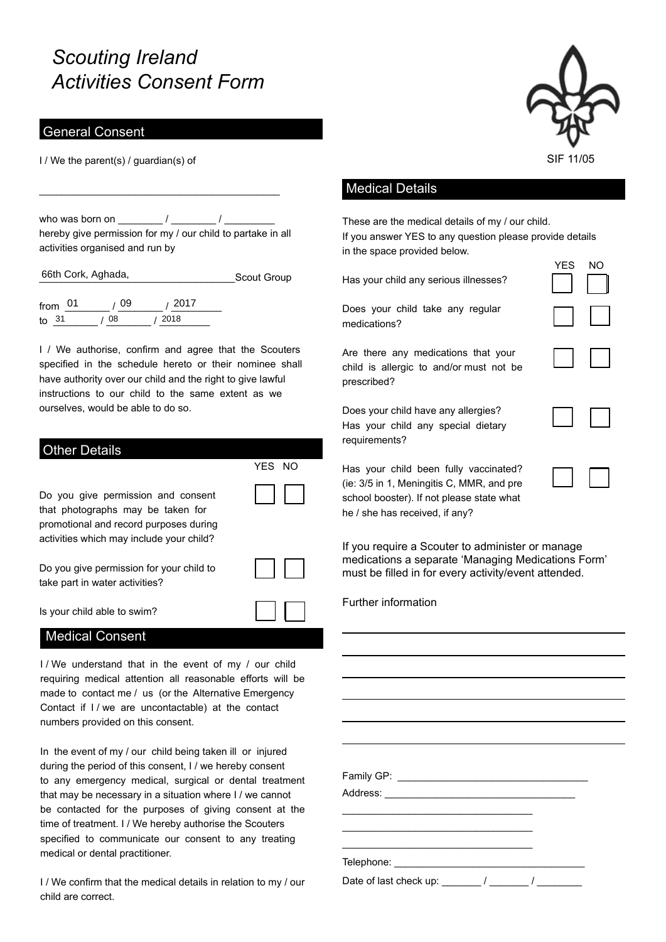# *Scouting Ireland Activities Consent Form*

### General Consent

I / We the parent(s) / guardian(s) of

who was born on  $\frac{1}{2}$  /  $\frac{1}{2}$ hereby give permission for my / our child to partake in all activities organised and run by

\_\_\_\_\_\_\_\_\_\_\_\_\_\_\_\_\_\_\_\_\_\_\_\_\_\_\_\_\_\_\_\_\_\_\_\_\_\_\_\_\_\_\_

\_\_\_\_\_\_\_\_\_\_\_\_\_\_\_\_\_\_\_\_\_\_\_\_\_\_\_\_\_\_\_\_\_\_\_Scout Group 66th Cork, Aghada,

from \_\_\_\_\_\_\_\_ / \_\_\_\_\_\_\_\_ / \_\_\_\_\_\_\_\_\_ to \_\_\_\_\_\_\_\_ / \_\_\_\_\_\_\_\_ / \_\_\_\_\_\_\_\_\_ 31 08 2018

I / We authorise, confirm and agree that the Scouters specified in the schedule hereto or their nominee shall have authority over our child and the right to give lawful instructions to our child to the same extent as we ourselves, would be able to do so.

| <b>Other Details</b>                                                                                                                                          | YFS NO |
|---------------------------------------------------------------------------------------------------------------------------------------------------------------|--------|
| Do you give permission and consent<br>that photographs may be taken for<br>promotional and record purposes during<br>activities which may include your child? |        |
| Do you give permission for your child to<br>take part in water activities?                                                                                    |        |
| Is your child able to swim?                                                                                                                                   |        |
| <b>Medical Consent</b>                                                                                                                                        |        |

I/ We understand that in the event of my / our child requiring medical attention all reasonable efforts will be made to contact me / us (or the Alternative Emergency Contact if I / we are uncontactable) at the contact numbers provided on this consent.

In the event of my / our child being taken ill or injured during the period of this consent, I / we hereby consent to any emergency medical, surgical or dental treatment that may be necessary in a situation where I / we cannot be contacted for the purposes of giving consent at the time of treatment. I / We hereby authorise the Scouters specified to communicate our consent to any treating medical or dental practitioner.

I / We confirm that the medical details in relation to my / our child are correct.



YES NO

#### Medical Details

These are the medical details of my / our child. If you answer YES to any question please provide details in the space provided below.

Has your child any serious illnesses?

Does your child take any regular medications?

Are there any medications that your child is allergic to and/or must not be prescribed?

Does your child have any allergies? Has your child any special dietary requirements?

| $\overline{\phantom{a}}$ |  |
|--------------------------|--|
| I                        |  |

Has your child been fully vaccinated? (ie: 3/5 in 1, Meningitis C, MMR, and pre school booster). If not please state what he / she has received, if any?

If you require a Scouter to administer or manage medications a separate 'Managing Medications Form' must be filled in for every activity/event attended.

Further information

Family GP: \_\_\_\_\_\_\_\_\_\_\_\_\_\_\_\_\_\_\_\_\_\_\_\_\_\_\_\_\_\_\_\_\_\_ Address: \_\_\_\_\_\_\_\_\_\_\_\_\_\_\_\_\_\_\_\_\_\_\_\_\_\_\_\_\_\_\_\_\_\_ \_\_\_\_\_\_\_\_\_\_\_\_\_\_\_\_\_\_\_\_\_\_\_\_\_\_\_\_\_\_\_\_\_\_ \_\_\_\_\_\_\_\_\_\_\_\_\_\_\_\_\_\_\_\_\_\_\_\_\_\_\_\_\_\_\_\_\_\_ Telephone: \_\_\_\_\_\_\_\_\_\_\_\_\_\_\_\_\_\_\_\_\_\_\_\_\_\_\_\_\_\_\_\_\_\_ Date of last check up:  $\frac{1}{2}$  /  $\frac{1}{2}$